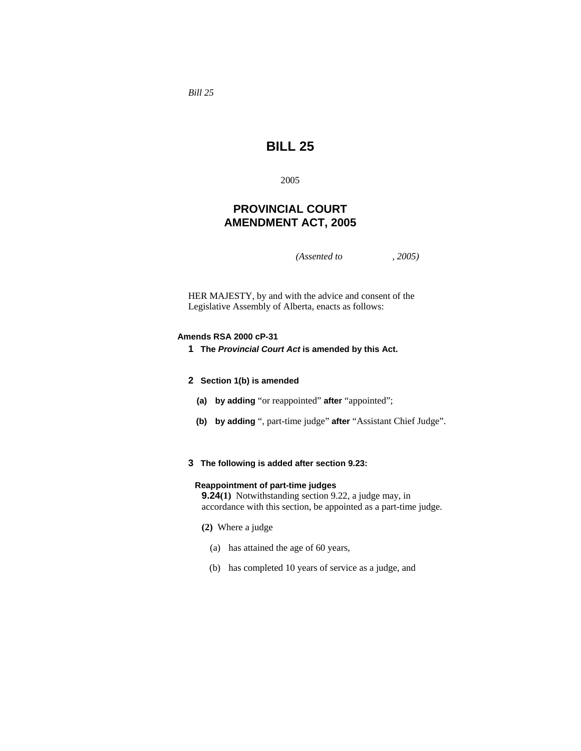*Bill 25* 

# **BILL 25**

2005

# **PROVINCIAL COURT AMENDMENT ACT, 2005**

*(Assented to , 2005)* 

HER MAJESTY, by and with the advice and consent of the Legislative Assembly of Alberta, enacts as follows:

#### **Amends RSA 2000 cP-31**

**1 The** *Provincial Court Act* **is amended by this Act.** 

#### **2 Section 1(b) is amended**

- **(a) by adding** "or reappointed" **after** "appointed";
- **(b) by adding** ", part-time judge" **after** "Assistant Chief Judge".
- **3 The following is added after section 9.23:**

#### **Reappointment of part-time judges**

**9.24(1)** Notwithstanding section 9.22, a judge may, in accordance with this section, be appointed as a part-time judge.

- **(2)** Where a judge
	- (a) has attained the age of 60 years,
	- (b) has completed 10 years of service as a judge, and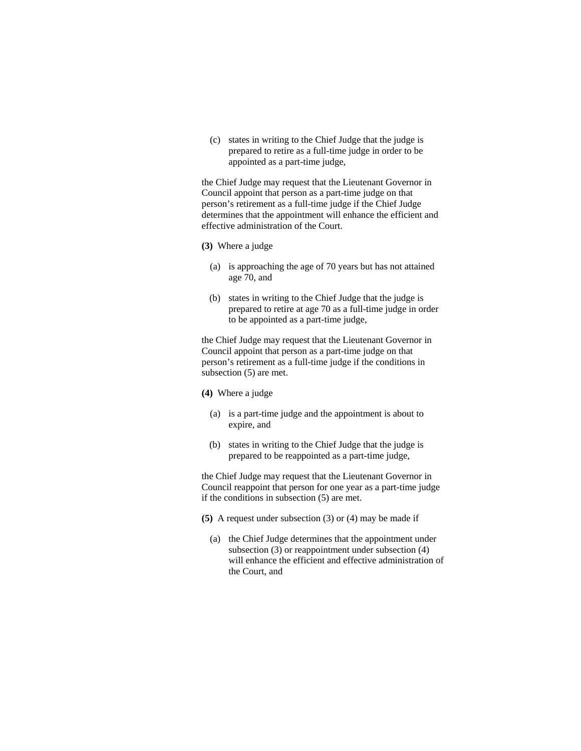(c) states in writing to the Chief Judge that the judge is prepared to retire as a full-time judge in order to be appointed as a part-time judge,

the Chief Judge may request that the Lieutenant Governor in Council appoint that person as a part-time judge on that person's retirement as a full-time judge if the Chief Judge determines that the appointment will enhance the efficient and effective administration of the Court.

#### **(3)** Where a judge

- (a) is approaching the age of 70 years but has not attained age 70, and
- (b) states in writing to the Chief Judge that the judge is prepared to retire at age 70 as a full-time judge in order to be appointed as a part-time judge,

the Chief Judge may request that the Lieutenant Governor in Council appoint that person as a part-time judge on that person's retirement as a full-time judge if the conditions in subsection (5) are met.

- **(4)** Where a judge
	- (a) is a part-time judge and the appointment is about to expire, and
	- (b) states in writing to the Chief Judge that the judge is prepared to be reappointed as a part-time judge,

the Chief Judge may request that the Lieutenant Governor in Council reappoint that person for one year as a part-time judge if the conditions in subsection (5) are met.

- **(5)** A request under subsection (3) or (4) may be made if
	- (a) the Chief Judge determines that the appointment under subsection (3) or reappointment under subsection (4) will enhance the efficient and effective administration of the Court, and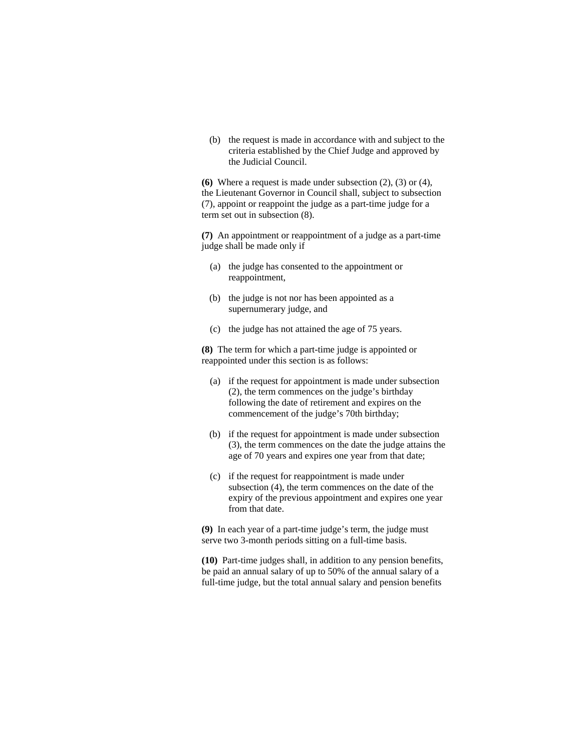(b) the request is made in accordance with and subject to the criteria established by the Chief Judge and approved by the Judicial Council.

**(6)** Where a request is made under subsection (2), (3) or (4), the Lieutenant Governor in Council shall, subject to subsection (7), appoint or reappoint the judge as a part-time judge for a term set out in subsection (8).

**(7)** An appointment or reappointment of a judge as a part-time judge shall be made only if

- (a) the judge has consented to the appointment or reappointment,
- (b) the judge is not nor has been appointed as a supernumerary judge, and
- (c) the judge has not attained the age of 75 years.

**(8)** The term for which a part-time judge is appointed or reappointed under this section is as follows:

- (a) if the request for appointment is made under subsection (2), the term commences on the judge's birthday following the date of retirement and expires on the commencement of the judge's 70th birthday;
- (b) if the request for appointment is made under subsection (3), the term commences on the date the judge attains the age of 70 years and expires one year from that date;
- (c) if the request for reappointment is made under subsection (4), the term commences on the date of the expiry of the previous appointment and expires one year from that date.

**(9)** In each year of a part-time judge's term, the judge must serve two 3-month periods sitting on a full-time basis.

**(10)** Part-time judges shall, in addition to any pension benefits, be paid an annual salary of up to 50% of the annual salary of a full-time judge, but the total annual salary and pension benefits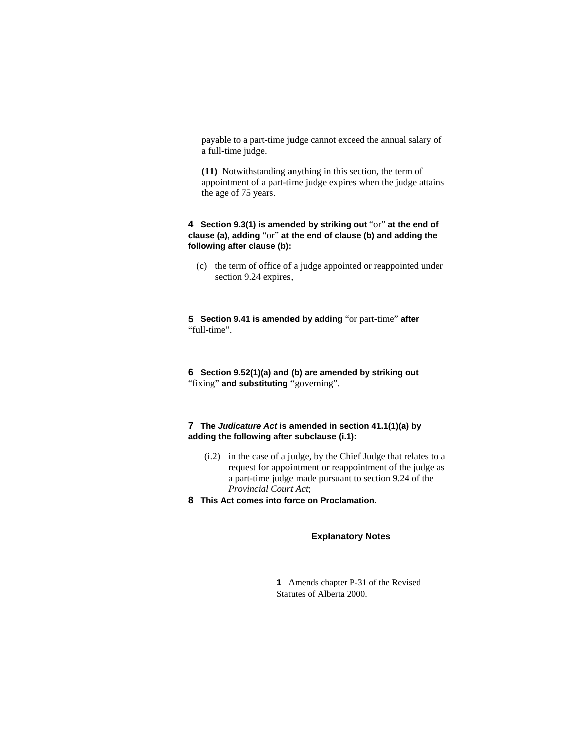payable to a part-time judge cannot exceed the annual salary of a full-time judge.

**(11)** Notwithstanding anything in this section, the term of appointment of a part-time judge expires when the judge attains the age of 75 years.

### **4 Section 9.3(1) is amended by striking out** "or" **at the end of clause (a), adding** "or" **at the end of clause (b) and adding the following after clause (b):**

 (c) the term of office of a judge appointed or reappointed under section 9.24 expires,

**5 Section 9.41 is amended by adding** "or part-time" **after**  "full-time".

**6 Section 9.52(1)(a) and (b) are amended by striking out**  "fixing" **and substituting** "governing".

## **7 The** *Judicature Act* **is amended in section 41.1(1)(a) by adding the following after subclause (i.1):**

- (i.2) in the case of a judge, by the Chief Judge that relates to a request for appointment or reappointment of the judge as a part-time judge made pursuant to section 9.24 of the *Provincial Court Act*;
- **8 This Act comes into force on Proclamation.**

### **Explanatory Notes**

**1** Amends chapter P-31 of the Revised Statutes of Alberta 2000.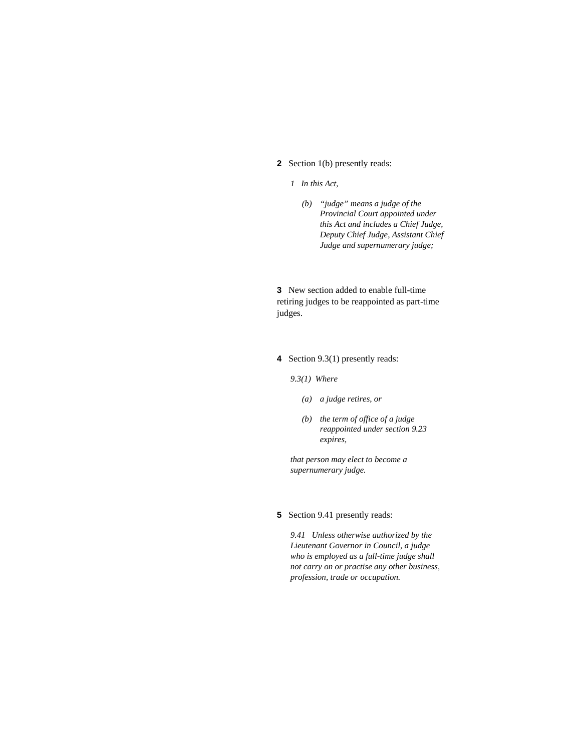### **2** Section 1(b) presently reads:

### *1 In this Act,*

 *(b) "judge" means a judge of the Provincial Court appointed under this Act and includes a Chief Judge, Deputy Chief Judge, Assistant Chief Judge and supernumerary judge;* 

**3** New section added to enable full-time retiring judges to be reappointed as part-time judges.

**4** Section 9.3(1) presently reads:

*9.3(1) Where* 

- *(a) a judge retires, or*
- *(b) the term of office of a judge reappointed under section 9.23 expires,*

*that person may elect to become a supernumerary judge.* 

### **5** Section 9.41 presently reads:

*9.41 Unless otherwise authorized by the Lieutenant Governor in Council, a judge who is employed as a full-time judge shall not carry on or practise any other business, profession, trade or occupation.*